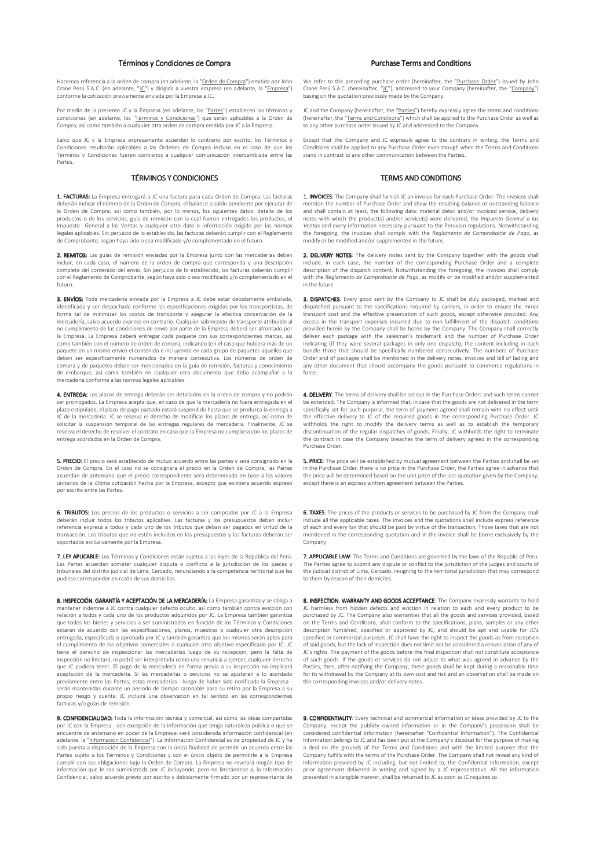## Términos y Condiciones de Compra

Hacemos referencia a la orden de compra (en adelante, la "Orden de Compra") emitida por Johr Crane Perú S.A.C. (en adelante, "JC") y dirigida a vuestra empresa (en adelante, la "Empresa")<br>conforme la cotización previamente enviada por la Empresa a JC.

Por medio de la presente IC y la Empresa (en adelante, las "Partes") establecen los términos y condiciones (en adelante, los "Términos y Condiciones") que serán aplicables a la Orden de Compra, así como también a cualquier otra orden de compra emitida por JC a la Empresa

Salvo que IC y la Empresa expresamente acuerden lo contrario por escrito, los Términos y Condiciones resultarán aplicables a las Órdenes de Compra incluso en el caso de que los Términos y Condiciones fueren contrarios a cualquier comunicación intercambiada entre las Partes.

## **TÉRMINOS Y CONDICIONES**

1. FACTURAS: La Empresa entregará a JC una factura para cada Orden de Compra. Las facturas deberán indicar el número de la Orden de Compra, el balance o saldo pendiente por ejecutar de la Orden de Compra; así como también, por lo menos, los siguientes datos: detalle de los productos o de los servicios, guía de remisión con la cual fueron entregados los productos, el Impuesto General a las Ventas y cualquier otro dato o información exigido por las normas.<br>Impuesto General a las Ventas y cualquier otro dato o información exigido por las normas<br>legales aplicables. Sin perjuicio de lo est de Comprobante, según haya sido o sea modificado y/o complementado en el futuro.

2. REMITOS: Las guías de remisión enviadas por la Empresa junto con las mercaderías deben incluir, en cada caso, el número de la orden de compra que corresponda y una descripción<br>completa del contenido del envío. Sin perjuicio de lo establecido, las facturas deberán cumplir con el Reglamento de Comprobante, según haya sido o sea modificado y/o complementado en el futuro.

3. ENVÍOS: Toda mercadería enviada por la Empresa a JC debe estar debidamente embalada. identificada y ser despachada conforme las especificaciones exigidas por los transportistas, de forma tal de minimizar los costos de transporte y asegurar la efectiva conservación de la<br>mercadería, salvo acuerdo expreso en contrario. Cualquier sobrecosto de transporte atribuible al no cumplimiento de las condiciones de envío por parte de la Empresa deberá ser afrontado por la Empresa. La Empresa deberá entregar cada paquete con sus correspondientes marcas, así como también con el número de orden de compra, indicando (en el caso que hubiera más de un paquete en un mismo envío) el contenido e incluvendo en cada grupo de paquetes aquellos que deben ser específicamente numerados de manera consecutiva. Los números de orden de compra y de paquetes deben ser mencionados en la guía de remisión, facturas y conocimiento de embarque, así como también en cualquier otro documento que deba acompañar a la mercadería conforme a las normas legales aplicables.

4. ENTREGA: Los plazos de entrega deberán ser detallados en la orden de compra y no podrán<br>ser prorrogados. La Empresa acepta que, en caso de que la mercadería no fuera entregada en el plazo estipulado, el plazo de pago pactado estará suspendido hasta que se produzca la entrega a<br>JC de la mercadería. JC se reserva el derecho de modificar los plazos de entrega, así como de solicitar la suspensión temporal de las entregas regulares de mercadería. Finalmente, JC se<br>reserva el derecho de resolver el contrato en caso que la Empresa no cumpliera con los plazos de<br>reserva el derecho de resolver el entrega acordados en la Orden de Compra.

5. PRECIO: El precio será establecido de mutuo acuerdo entre las partes y será consignado en la Orden de Compra. En el caso no se consignara el precio en la Orden de Compra, las Partes acuerdan de antemano que el precio correspondiente será determinado en base a los valores unitarios de la última cotización hecha por la Empresa, excepto que existiera acuerdo expreso por escrito entre las Partes

6. TRIBUTOS: Los precios de los productos o servicios a ser comprados por JC a la Empresa deberán incluir todos los tributos aplicables. Las facturas y los presupuestos deben incluir<br>referencia expresa a todos y cada uno de los tributos que deban ser pagados en virtud de la transacción. Los tributos que no estén incluidos en los presupuestos y las facturas deberán ser soportados exclusivamente por la Empresa.

7. LEY APLICABLE: Los Términos y Condiciones están sujetos a las leves de la República del Perú. Las Partes acuerdan someter cualquier disputa o conflicto a la jurisdicción de los jueces y tribunales del distrito judicial de Lima, Cercado, renunciando a la competencia territorial que les pudiese corresponder en razón de sus domicilio

8. INSPECCIÓN, GARANTÍA Y ACEPTACIÓN DE LA MERCADERÍA: La Empresa garantiza y se obliga a mantener indemne a JC contra cualquier defecto oculto, así como también contra evicción con mainearchichaeological and de los productos adquiridos por JC. La Empresa también garantiza<br>que todos los bienes y servicios a ser suministrados en función de los Términos y Condiciones estarán de acuerdo con las especificaciones, planos, muestras o cualquier otra descripción estaran de acuerdo con las especificaciones, planos, muestras o cualquier ou a descripción<br>entregada, especificada o aprobada por JC y también garantiza que los mismos serán aptos para el cumplimiento de los objetivos comerciales o cualquier otro objetivo especificado por JC. JC<br>el cumplimiento de los objetivos comerciales o cualquier otro objetivo especificado por JC. JC<br>tiene el derecho de inspeccionar inspección no limitará, ni podrá ser interpretada como una renuncia a ejercer, cualquier derecho que IC pudiera tener. El pago de la mercadería en forma previa a su inspección no implicará aceptación de la mercadería. Si las mercaderías o servicios no se ajustaran a lo acordado previamente entre las Partes, estas mercaderías - luego de haber sido notificada la Empresa serán mantenidas durante un periodo de tiempo razonable para su retiro por la Empresa a su propio riesso y cuenta. IC incluirá una observación en tal sentido en las correspondientes propio riogo y edentar se il.<br>facturas v/o guías de remisión.

9. CONFIDENCIALIDAD: Toda la información técnica y comercial, así como las ideas compartidas por JC con la Empresa - con excepción de la información que tenga naturaleza pública o que se encuentre de antemano en poder de la Empresa- será considerada información confidencial (en adelante, la "<u>Información Confidencial</u>"). La Información Confidencial es de propiedad de JC y ha sido puesta a disposición de la Empresa con la única finalidad de permitir un acuerdo entre las Partes sujeto a los Términos y Condiciones y con el único objeto de permitirle a la Empresa cumplir con sus obligaciones bajo la Orden de Compra. La Empresa no revelará ningún tipo de<br>información que le sea suministrada por JC incluyendo, pero no limitándose a, la Información Confidencial, salvo acuerdo previo por escrito y debidamente firmado por un representante de

## **Purchase Terms and Conditions**

We refer to the preceding purchase order (hereinafter, the "Purchase Order") issued by John Crane Perú S.A.C. (hereinafter, "JC"), addressed to your Company (hereinafter, the "Company") basing on the quotation previously made by the Company.

IC and the Company (hereinafter, the "Parties") hereby expressly agree the terms and conditions For the "Herman and Conditions") which shall be applied to the Purchase Order as well as<br>to any other purchase order issued by JC and addressed to the Company.

Except that the Company and JC expressly agree to the contrary in writing, the Terms and Conditions shall be applied to any Purchase Order even though when the Terms and Conditions stand in contrast to any other communication between the Parties.

## **TERMS AND CONDITIONS**

1. INVOICES: The Company shall furnish JC an invoice for each Purchase Order. The invoices shall ntion the number of Purchase Order and show the resulting balance or outstanding balance and shall contain at least, the following data: material detail and/or invoiced service, delivery notes with which the product(s) and/or service(s) were delivered, the *Impuesto General a las* Ventas and every information necessary pursuant to the Peruvian regulations. Notwithstanding the foregoing, the invoices shall comply with the Reglamento de Comprobante de Pago, as<br>modify or be modified and/or supplemented in the future.

2. DELIVERY NOTES: The delivery notes sent by the Company together with the goods shall include, in each case, the number of the corresponding Purchase Order and a complete<br>description of the dispatch content. Notwithstanding the foregoing, the invoices shall comply<br>description of the dispatch content. Notwit with the *Reglamento de Comprobante de Pago*, as modify or be modified and/or supplemented in the future.

**3. DISPATCHES:** Every good sent by the Company to JC shall be duly packaged, marked and dispatched pursuant to the specifications required by carriers, in order to ensure the minor transport cost and the effective preservation of such goods, except otherwise provided. Any excess in the transport expenses incurred due to non-fulfillment of the dispatch conditions provided herein by the Company shall be borne by the Company. The Company shall correctly deliver each package with the salesman's trademark and the number of Purchase Order indicating (if they were several packages in only one dispatch), the content including in each bundle those that should be specifically numbered consecutively. The numbers of Purchase Order and of packages shall be mentioned in the delivery notes, invoices and bill of lading and any other document that should accompany the goods pursuant to commerce regulations in

4. DELIVERY: The terms of delivery shall be set out in the Purchase Orders and such terms cannot be extended. The Company is informed that, in case that the goods are not delivered in the term specifically set for such purpose, the term of payment agreed shall remain with no effect until<br>the effective delivery to JC of the required goods in the corresponding Purchase Order. JC withholds the right to modify the delivery terms as well as to establish the temporary<br>discontinuation of the regular dispatches of goods. Finally, JC withholds the right to terminate the contract in case the Company breaches the term of delivery agreed in the corresponding Purchase Order

5. PRICE: The price will be established by mutual agreement between the Parties and shall be set in the Purchase Order. there is no price in the Purchase Order, the Parties agree in advance that the price will be determined based on the unit price of the last quotation given by the Company. except there is an express written agreement between the Parties.

6. TAXES: The prices of the products or services to be purchased by JC from the Company shall mentioned in the corresponding quotation and in the invoice shall be borne exclusively by the Company

7. APPLICABLE LAW: The Terms and Conditions are governed by the laws of the Republic of Peru. The Parties agree to submit any dispute or conflict to the jurisdiction of the judges and courts of the judicial district of Lima, Cercado, resigning to the territorial jurisdiction that may correspond to them by reason of their domiciles

8. INSPECTION. WARRANTY AND GOODS ACCEPTANCE: The Company expressly warrants to hold JC harmless from hidden defects and eviction in relation to each and every product to be purchased by JC. The Company also warranties that all the goods and services provided, based<br>on the Terms and Conditions, shall conform to the specifications, plans, samples or any other description furnished, specified or approved by JC, and should be apt and usable for JC's<br>specified or commercial purposes. JC shall have the right to inspect the goods as from reception presence or commenced for the lack of inspection does not limit nor be considered a renunciation of any of<br>Of said goods, but the lack of inspection does not limit nor be considered a renunciation of any of<br>JC's rights. Th of such goods. If the goods or services do not adjust to what was agreed in advance by the Parties, then, after notifying the Company, these goods shall be kept during a reasonable time for its withdrawal by the Company at its own cost and risk and an observation shall be made on the corresponding invoices and/or delivery notes.

9. CONFIDENTIALITY: Every technical and commercial information or ideas provided by JC to the Company, except the publicly owned information or in the Company's possession shall be<br>considered confidential information (hereinafter "Confidential Information"). The Confidential Information belongs to JC and has been put at the Company's disposal for the purpose of making a deal on the grounds of the Terms and Conditions and with the limited purpose that the Company fulfills with the terms of the Purchase Order. The Company shall not reveal any kind of information provided by JC including, but not limited to, the Confidential Information, except<br>prior agreement delivered in writing and signed by a JC representative. All the information presented in a tangible manner, shall be returned to IC as soon as IC requires so